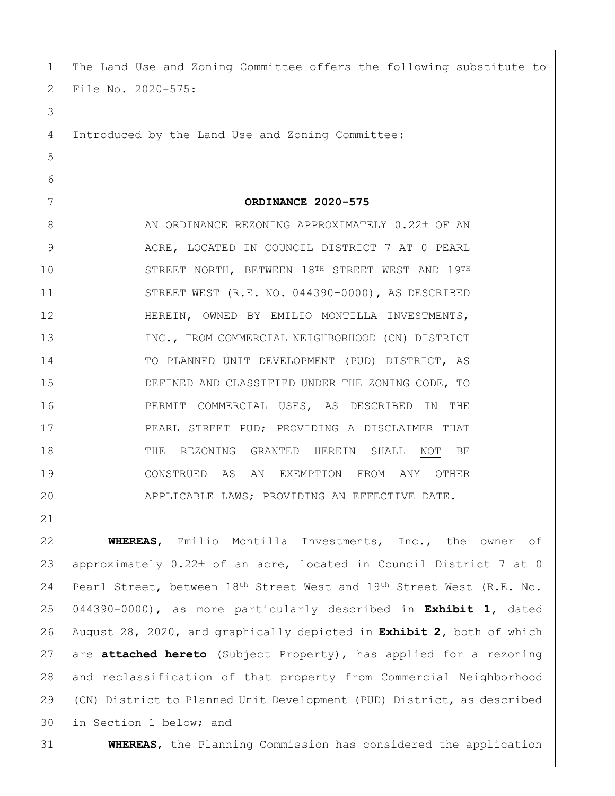| 1  | The Land Use and Zoning Committee offers the following substitute to          |
|----|-------------------------------------------------------------------------------|
| 2  | File No. 2020-575:                                                            |
| 3  |                                                                               |
| 4  | Introduced by the Land Use and Zoning Committee:                              |
| 5  |                                                                               |
| 6  |                                                                               |
| 7  | ORDINANCE 2020-575                                                            |
| 8  | AN ORDINANCE REZONING APPROXIMATELY 0.22± OF AN                               |
| 9  | ACRE, LOCATED IN COUNCIL DISTRICT 7 AT 0 PEARL                                |
| 10 | STREET NORTH, BETWEEN 18TH STREET WEST AND 19TH                               |
| 11 | STREET WEST (R.E. NO. 044390-0000), AS DESCRIBED                              |
| 12 | HEREIN, OWNED BY EMILIO MONTILLA INVESTMENTS,                                 |
| 13 | INC., FROM COMMERCIAL NEIGHBORHOOD (CN) DISTRICT                              |
| 14 | TO PLANNED UNIT DEVELOPMENT (PUD) DISTRICT, AS                                |
| 15 | DEFINED AND CLASSIFIED UNDER THE ZONING CODE, TO                              |
| 16 | PERMIT COMMERCIAL USES, AS DESCRIBED IN<br>THE                                |
| 17 | PEARL STREET PUD; PROVIDING A DISCLAIMER THAT                                 |
| 18 | THE<br>REZONING GRANTED HEREIN<br>BE<br>SHALL<br>NOT                          |
| 19 | CONSTRUED AS<br>AN<br>EXEMPTION FROM<br>ANY<br>OTHER                          |
| 20 | APPLICABLE LAWS; PROVIDING AN EFFECTIVE DATE.                                 |
| 21 |                                                                               |
| 22 | WHEREAS, Emilio Montilla Investments, Inc., the owner of                      |
| 23 | approximately 0.22± of an acre, located in Council District 7 at 0            |
| 24 | Pearl Street, between 18th Street West and 19th Street West (R.E. No.         |
| 25 | 044390-0000), as more particularly described in Exhibit 1, dated              |
| 26 | August 28, 2020, and graphically depicted in <b>Exhibit 2</b> , both of which |
| 27 | are attached hereto (Subject Property), has applied for a rezoning            |
| 28 | and reclassification of that property from Commercial Neighborhood            |
| 29 | (CN) District to Planned Unit Development (PUD) District, as described        |
| 30 | in Section 1 below; and                                                       |

31 **WHEREAS**, the Planning Commission has considered the application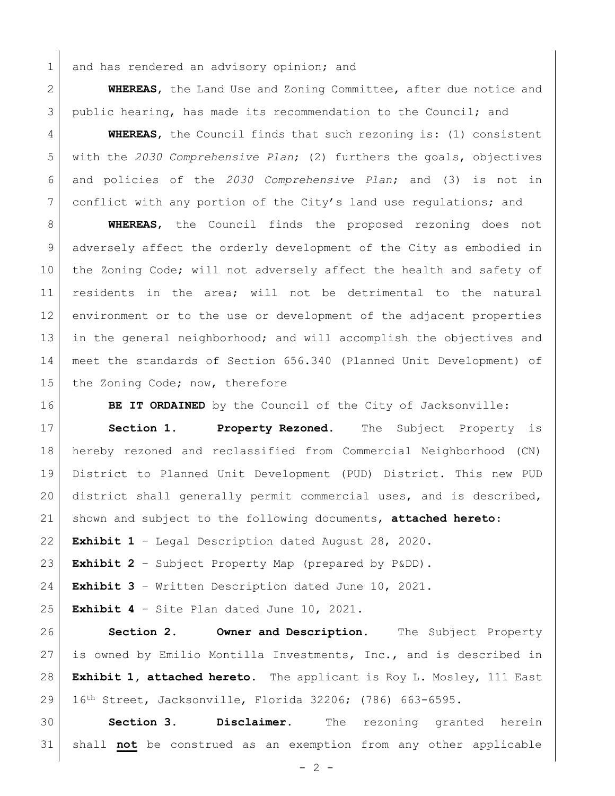1 and has rendered an advisory opinion; and

 **WHEREAS**, the Land Use and Zoning Committee, after due notice and public hearing, has made its recommendation to the Council; and

 **WHEREAS**, the Council finds that such rezoning is: (1) consistent with the *2030 Comprehensive Plan*; (2) furthers the goals, objectives and policies of the *2030 Comprehensive Plan*; and (3) is not in conflict with any portion of the City's land use regulations; and

 **WHEREAS**, the Council finds the proposed rezoning does not adversely affect the orderly development of the City as embodied in 10 the Zoning Code; will not adversely affect the health and safety of residents in the area; will not be detrimental to the natural environment or to the use or development of the adjacent properties in the general neighborhood; and will accomplish the objectives and meet the standards of Section 656.340 (Planned Unit Development) of 15 the Zoning Code; now, therefore

**BE IT ORDAINED** by the Council of the City of Jacksonville:

 **Section 1. Property Rezoned.** The Subject Property is hereby rezoned and reclassified from Commercial Neighborhood (CN) District to Planned Unit Development (PUD) District. This new PUD district shall generally permit commercial uses, and is described, shown and subject to the following documents, **attached hereto**:

**Exhibit 1** – Legal Description dated August 28, 2020.

**Exhibit 2** – Subject Property Map (prepared by P&DD).

**Exhibit 3** – Written Description dated June 10, 2021.

**Exhibit 4** – Site Plan dated June 10, 2021.

 **Section 2. Owner and Description.** The Subject Property is owned by Emilio Montilla Investments, Inc., and is described in **Exhibit 1, attached hereto.** The applicant is Roy L. Mosley, 111 East 16th Street, Jacksonville, Florida 32206; (786) 663-6595.

 **Section 3. Disclaimer.** The rezoning granted herein shall **not** be construed as an exemption from any other applicable

 $- 2 -$